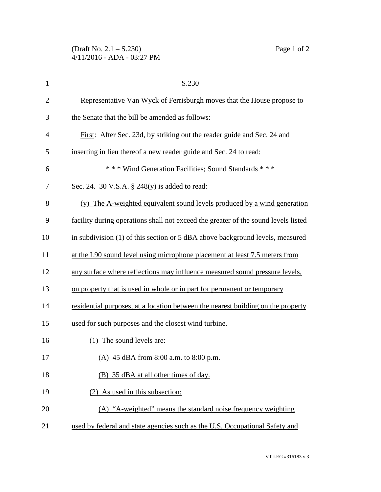| $\mathbf{1}$   | S.230                                                                              |
|----------------|------------------------------------------------------------------------------------|
| $\overline{2}$ | Representative Van Wyck of Ferrisburgh moves that the House propose to             |
| 3              | the Senate that the bill be amended as follows:                                    |
| 4              | First: After Sec. 23d, by striking out the reader guide and Sec. 24 and            |
| 5              | inserting in lieu thereof a new reader guide and Sec. 24 to read:                  |
| 6              | *** Wind Generation Facilities; Sound Standards ***                                |
| 7              | Sec. 24. 30 V.S.A. $\S$ 248(y) is added to read:                                   |
| 8              | The A-weighted equivalent sound levels produced by a wind generation<br>(v)        |
| 9              | facility during operations shall not exceed the greater of the sound levels listed |
| 10             | in subdivision $(1)$ of this section or 5 dBA above background levels, measured    |
| 11             | at the L90 sound level using microphone placement at least 7.5 meters from         |
| 12             | any surface where reflections may influence measured sound pressure levels,        |
| 13             | on property that is used in whole or in part for permanent or temporary            |
| 14             | residential purposes, at a location between the nearest building on the property   |
| 15             | used for such purposes and the closest wind turbine.                               |
| 16             | (1) The sound levels are:                                                          |
| 17             | (A) 45 dBA from 8:00 a.m. to 8:00 p.m.                                             |
| 18             | (B) 35 dBA at all other times of day.                                              |
| 19             | (2) As used in this subsection:                                                    |
| 20             | (A) "A-weighted" means the standard noise frequency weighting                      |
| 21             | used by federal and state agencies such as the U.S. Occupational Safety and        |